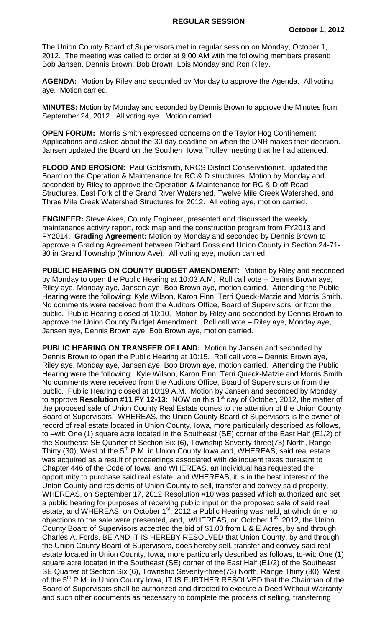The Union County Board of Supervisors met in regular session on Monday, October 1, 2012. The meeting was called to order at 9:00 AM with the following members present: Bob Jansen, Dennis Brown, Bob Brown, Lois Monday and Ron Riley.

**AGENDA:** Motion by Riley and seconded by Monday to approve the Agenda. All voting aye. Motion carried.

**MINUTES:** Motion by Monday and seconded by Dennis Brown to approve the Minutes from September 24, 2012. All voting aye. Motion carried.

**OPEN FORUM:** Morris Smith expressed concerns on the Taylor Hog Confinement Applications and asked about the 30 day deadline on when the DNR makes their decision. Jansen updated the Board on the Southern Iowa Trolley meeting that he had attended.

**FLOOD AND EROSION:** Paul Goldsmith, NRCS District Conservationist, updated the Board on the Operation & Maintenance for RC & D structures. Motion by Monday and seconded by Riley to approve the Operation & Maintenance for RC & D off Road Structures, East Fork of the Grand River Watershed, Twelve Mile Creek Watershed, and Three Mile Creek Watershed Structures for 2012. All voting aye, motion carried.

**ENGINEER:** Steve Akes, County Engineer, presented and discussed the weekly maintenance activity report, rock map and the construction program from FY2013 and FY2014. **Grading Agreement:** Motion by Monday and seconded by Dennis Brown to approve a Grading Agreement between Richard Ross and Union County in Section 24-71- 30 in Grand Township (Minnow Ave). All voting aye, motion carried.

**PUBLIC HEARING ON COUNTY BUDGET AMENDMENT:** Motion by Riley and seconded by Monday to open the Public Hearing at 10:03 A.M. Roll call vote – Dennis Brown aye, Riley aye, Monday aye, Jansen aye, Bob Brown aye, motion carried. Attending the Public Hearing were the following: Kyle Wilson, Karon Finn, Terri Queck-Matzie and Morris Smith. No comments were received from the Auditors Office, Board of Supervisors, or from the public. Public Hearing closed at 10:10. Motion by Riley and seconded by Dennis Brown to approve the Union County Budget Amendment. Roll call vote – Riley aye, Monday aye, Jansen aye, Dennis Brown aye, Bob Brown aye, motion carried.

**PUBLIC HEARING ON TRANSFER OF LAND:** Motion by Jansen and seconded by Dennis Brown to open the Public Hearing at 10:15. Roll call vote – Dennis Brown aye, Riley aye, Monday aye, Jansen aye, Bob Brown aye, motion carried. Attending the Public Hearing were the following: Kyle Wilson, Karon Finn, Terri Queck-Matzie and Morris Smith. No comments were received from the Auditors Office, Board of Supervisors or from the public. Public Hearing closed at 10:19 A.M. Motion by Jansen and seconded by Monday to approve **Resolution #11 FY 12-13:** NOW on this 1<sup>st</sup> day of October, 2012, the matter of the proposed sale of Union County Real Estate comes to the attention of the Union County Board of Supervisors. WHEREAS, the Union County Board of Supervisors is the owner of record of real estate located in Union County, Iowa, more particularly described as follows, to –wit: One (1) square acre located in the Southeast (SE) corner of the East Half (E1/2) of the Southeast SE Quarter of Section Six (6), Township Seventy-three(73) North, Range Thirty (30), West of the 5<sup>th</sup> P.M. in Union County Iowa and, WHEREAS, said real estate was acquired as a result of proceedings associated with delinquent taxes pursuant to Chapter 446 of the Code of Iowa, and WHEREAS, an individual has requested the opportunity to purchase said real estate, and WHEREAS, it is in the best interest of the Union County and residents of Union County to sell, transfer and convey said property, WHEREAS, on September 17, 2012 Resolution #10 was passed which authorized and set a public hearing for purposes of receiving public input on the proposed sale of said real estate, and WHEREAS, on October 1st, 2012 a Public Hearing was held, at which time no objections to the sale were presented, and, WHEREAS, on October 1<sup>st</sup>, 2012, the Union County Board of Supervisors accepted the bid of \$1.00 from L & E Acres, by and through Charles A. Fords, BE AND IT IS HEREBY RESOLVED that Union County, by and through the Union County Board of Supervisors, does hereby sell, transfer and convey said real estate located in Union County, Iowa, more particularly described as follows, to-wit: One (1) square acre located in the Southeast (SE) corner of the East Half (E1/2) of the Southeast SE Quarter of Section Six (6), Township Seventy-three(73) North, Range Thirty (30), West of the 5<sup>th</sup> P.M. in Union County Iowa, IT IS FURTHER RESOLVED that the Chairman of the Board of Supervisors shall be authorized and directed to execute a Deed Without Warranty and such other documents as necessary to complete the process of selling, transferring